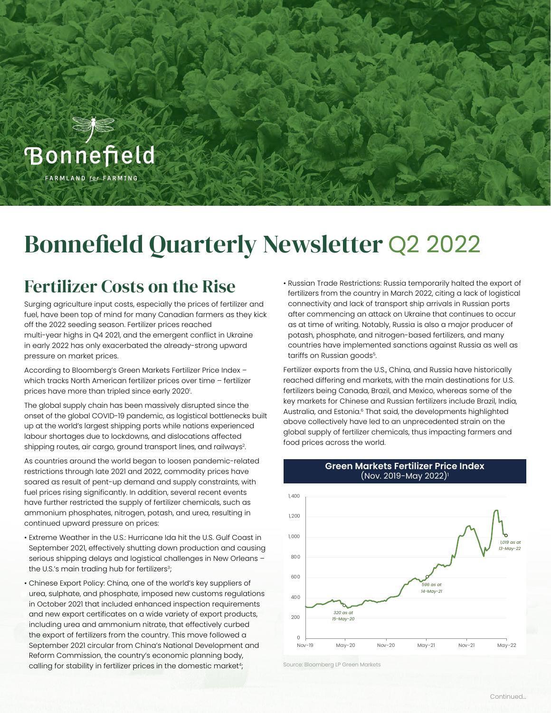

# Bonnefield Quarterly Newsletter Q2 2022

### Fertilizer Costs on the Rise

Surging agriculture input costs, especially the prices of fertilizer and fuel, have been top of mind for many Canadian farmers as they kick off the 2022 seeding season. Fertilizer prices reached multi-year highs in Q4 2021, and the emergent conflict in Ukraine in early 2022 has only exacerbated the already-strong upward pressure on market prices.

According to Bloomberg's Green Markets Fertilizer Price Index – which tracks North American fertilizer prices over time – fertilizer prices have more than tripled since early 2020'. .

The global supply chain has been massively disrupted since the onset of the global COVID-19 pandemic, as logistical bottlenecks built up at the world's largest shipping ports while nations experienced labour shortages due to lockdowns, and dislocations affected shipping routes, air cargo, ground transport lines, and railways<sup>2</sup>. .

As countries around the world began to loosen pandemic-related restrictions through late 2021 and 2022, commodity prices have soared as result of pent-up demand and supply constraints, with fuel prices rising significantly. In addition, several recent events have further restricted the supply of fertilizer chemicals, such as ammonium phosphates, nitrogen, potash, and urea, resulting in continued upward pressure on prices:

- Extreme Weather in the U.S.: Hurricane Ida hit the U.S. Gulf Coast in September 2021, effectively shutting down production and causing serious shipping delays and logistical challenges in New Orleans – the U.S.'s main trading hub for fertilizers<sup>3</sup>;
- Chinese Export Policy: China, one of the world's key suppliers of urea, sulphate, and phosphate, imposed new customs regulations in October 2021 that included enhanced inspection requirements and new export certificates on a wide variety of export products, including urea and ammonium nitrate, that effectively curbed the export of fertilizers from the country. This move followed a September 2021 circular from China's National Development and Reform Commission, the country's economic planning body, calling for stability in fertilizer prices in the domestic market<sup>4</sup>;

• Russian Trade Restrictions: Russia temporarily halted the export of fertilizers from the country in March 2022, citing a lack of logistical connectivity and lack of transport ship arrivals in Russian ports after commencing an attack on Ukraine that continues to occur as at time of writing. Notably, Russia is also a major producer of potash, phosphate, and nitrogen-based fertilizers, and many countries have implemented sanctions against Russia as well as tariffs on Russian goods<sup>5</sup>.

Fertilizer exports from the U.S., China, and Russia have historically reached differing end markets, with the main destinations for U.S. fertilizers being Canada, Brazil, and Mexico, whereas some of the key markets for Chinese and Russian fertilizers include Brazil, India, Australia, and Estonia.<sup>6</sup> That said, the developments highlighted above collectively have led to an unprecedented strain on the global supply of fertilizer chemicals, thus impacting farmers and food prices across the world.



Source: Bloomberg LP Green Markets

#### **Green Markets Fertilizer Price Index** (Nov. 2019-May 2022)1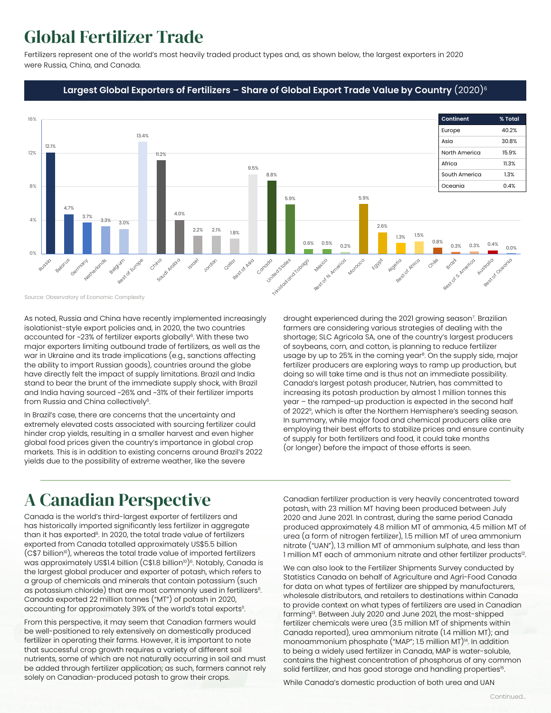## Global Fertilizer Trade

Fertilizers represent one of the world's most heavily traded product types and, as shown below, the largest exporters in 2020 were Russia, China, and Canada.

#### **Largest Global Exporters of Fertilizers – Share of Global Export Trade Value by Country** (2020)6



Source: Observatory of Economic Complexity

As noted, Russia and China have recently implemented increasingly isolationist-style export policies and, in 2020, the two countries accounted for ~23% of fertilizer exports globally<sup>6</sup>. With these two major exporters limiting outbound trade of fertilizers, as well as the war in Ukraine and its trade implications (e.g., sanctions affecting the ability to import Russian goods), countries around the globe have directly felt the impact of supply limitations. Brazil and India stand to bear the brunt of the immediate supply shock, with Brazil and India having sourced ~26% and ~31% of their fertilizer imports from Russia and China collectively<sup>6</sup>.

In Brazil's case, there are concerns that the uncertainty and extremely elevated costs associated with sourcing fertilizer could hinder crop yields, resulting in a smaller harvest and even higher global food prices given the country's importance in global crop markets. This is in addition to existing concerns around Brazil's 2022 yields due to the possibility of extreme weather, like the severe

drought experienced during the 2021 growing season<sup>7</sup>. Brazilian farmers are considering various strategies of dealing with the shortage; SLC Agricola SA, one of the country's largest producers of soybeans, corn, and cotton, is planning to reduce fertilizer usage by up to 25% in the coming year<sup>8</sup>. On the supply side, major fertilizer producers are exploring ways to ramp up production, but doing so will take time and is thus not an immediate possibility. Canada's largest potash producer, Nutrien, has committed to increasing its potash production by almost 1 million tonnes this year – the ramped-up production is expected in the second half of 20229, which is after the Northern Hemisphere's seeding season. In summary, while major food and chemical producers alike are employing their best efforts to stabilize prices and ensure continuity of supply for both fertilizers and food, it could take months (or longer) before the impact of those efforts is seen.

## A Canadian Perspective

Canada is the world's third-largest exporter of fertilizers and has historically imported significantly less fertilizer in aggregate than it has exported<sup>6</sup>. In 2020, the total trade value of fertilizers exported from Canada totalled approximately US\$5.5 billion  $(C$7 billion<sup>10</sup>)$ , whereas the total trade value of imported fertilizers was approximately US\$1.4 billion  $(C$1.8 billion<sup>10</sup>)<sup>6</sup>$ . Notably, Canada is the largest global producer and exporter of potash, which refers to a group of chemicals and minerals that contain potassium (such as potassium chloride) that are most commonly used in fertilizers<sup>11</sup>. Canada exported 22 million tonnes ("MT") of potash in 2020, accounting for approximately 39% of the world's total exports<sup>11</sup>.

From this perspective, it may seem that Canadian farmers would be well-positioned to rely extensively on domestically produced fertilizer in operating their farms. However, it is important to note that successful crop growth requires a variety of different soil nutrients, some of which are not naturally occurring in soil and must be added through fertilizer application; as such, farmers cannot rely solely on Canadian-produced potash to grow their crops.

Canadian fertilizer production is very heavily concentrated toward potash, with 23 million MT having been produced between July 2020 and June 2021. In contrast, during the same period Canada produced approximately 4.8 million MT of ammonia, 4.5 million MT of urea (a form of nitrogen fertilizer), 1.5 million MT of urea ammonium nitrate ("UAN"), 1.3 million MT of ammonium sulphate, and less than 1 million MT each of ammonium nitrate and other fertilizer products<sup>12</sup>.

We can also look to the Fertilizer Shipments Survey conducted by Statistics Canada on behalf of Agriculture and Agri-Food Canada for data on what types of fertilizer are shipped by manufacturers, wholesale distributors, and retailers to destinations within Canada to provide context on what types of fertilizers are used in Canadian farming13. Between July 2020 and June 2021, the most-shipped fertilizer chemicals were urea (3.5 million MT of shipments within Canada reported), urea ammonium nitrate (1.4 million MT); and monoammonium phosphate ("MAP"; 1.5 million MT)<sup>14</sup>. In addition to being a widely used fertilizer in Canada, MAP is water-soluble, contains the highest concentration of phosphorus of any common solid fertilizer, and has good storage and handling properties<sup>15</sup>.

While Canada's domestic production of both urea and UAN